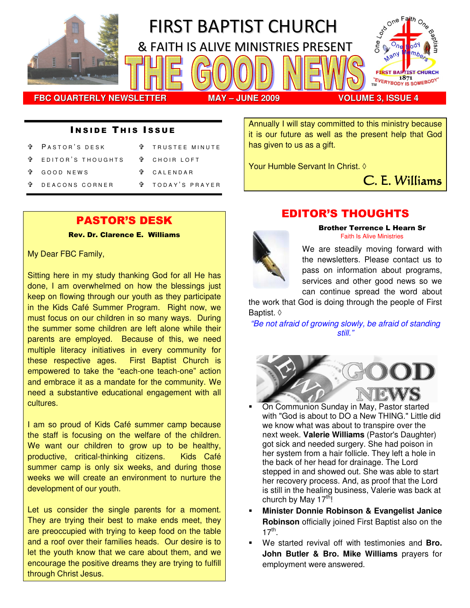

#### **INSIDE THIS ISSUE**

- PASTOR'S DESK
- **T** TRUSTEE MINUTE

**T** CHOIR LOFT

- E D I T O R 'S T H O U G H T S
	- C A L E N D A R
- G O O D N E W S D E A CONS CORNER
- <sup>₩</sup> TODAY'S PRAYER

## PASTOR'S DESK

Rev. Dr. Clarence E. Williams

My Dear FBC Family,

Sitting here in my study thanking God for all He has done, I am overwhelmed on how the blessings just keep on flowing through our youth as they participate in the Kids Café Summer Program. Right now, we must focus on our children in so many ways. During the summer some children are left alone while their parents are employed. Because of this, we need multiple literacy initiatives in every community for these respective ages. First Baptist Church is empowered to take the "each-one teach-one" action and embrace it as a mandate for the community. We need a substantive educational engagement with all cultures.

I am so proud of Kids Café summer camp because the staff is focusing on the welfare of the children. We want our children to grow up to be healthy, productive, critical-thinking citizens. Kids Café summer camp is only six weeks, and during those weeks we will create an environment to nurture the development of our youth.

Let us consider the single parents for a moment. They are trying their best to make ends meet, they are preoccupied with trying to keep food on the table and a roof over their families heads. Our desire is to let the youth know that we care about them, and we encourage the positive dreams they are trying to fulfill through Christ Jesus.

## EDITOR'S THOUGHTS

Annually I will stay committed to this ministry because it is our future as well as the present help that God



has given to us as a gift.

Your Humble Servant In Christ. ◊

Brother Terrence L Hearn Sr Faith Is Alive Ministries

C. E. Williams

We are steadily moving forward with the newsletters. Please contact us to pass on information about programs, services and other good news so we can continue spread the word about

the work that God is doing through the people of First Baptist. ◊

"Be not afraid of growing slowly, be afraid of standing still."



- - On Communion Sunday in May, Pastor started with "God is about to DO a New THING." Little did we know what was about to transpire over the next week. **Valerie Williams** (Pastor's Daughter) got sick and needed surgery. She had poison in her system from a hair follicle. They left a hole in the back of her head for drainage. The Lord stepped in and showed out. She was able to start her recovery process. And, as proof that the Lord is still in the healing business, Valerie was back at church by May  $17<sup>th</sup>$ !
- - **Minister Donnie Robinson & Evangelist Janice Robinson** officially joined First Baptist also on the  $17^{\text{th}}$ .
- - We started revival off with testimonies and **Bro. John Butler & Bro. Mike Williams** prayers for employment were answered.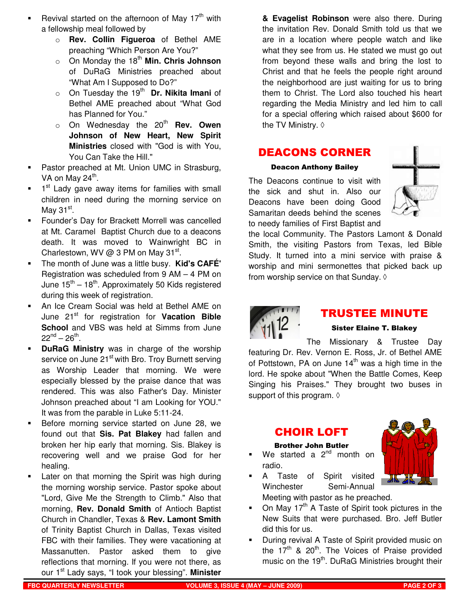- -Revival started on the afternoon of May  $17<sup>th</sup>$  with a fellowship meal followed by
	- o **Rev. Collin Figueroa** of Bethel AME preaching "Which Person Are You?"
	- o On Monday the 18th **Min. Chris Johnson** of DuRaG Ministries preached about "What Am I Supposed to Do?"
	- o On Tuesday the 19<sup>th</sup> Dr. Nikita Imani of Bethel AME preached about "What God has Planned for You."
	- o On Wednesday the 20<sup>th</sup> **Rev. Owen Johnson of New Heart, New Spirit Ministries** closed with "God is with You, You Can Take the Hill."
- - Pastor preached at Mt. Union UMC in Strasburg, VA on May 24<sup>th</sup>.
- -1<sup>st</sup> Lady gave away items for families with small children in need during the morning service on May 31 $^{\rm st}$ .
- - Founder's Day for Brackett Morrell was cancelled at Mt. Caramel Baptist Church due to a deacons death. It was moved to Wainwright BC in Charlestown, WV @ 3 PM on May  $31^{st}$ .
- - The month of June was a little busy. **Kid's CAFÉ'** Registration was scheduled from 9 AM – 4 PM on June  $15^{th} - 18^{th}$ . Approximately 50 Kids registered during this week of registration.
- - An Ice Cream Social was held at Bethel AME on June 21<sup>st</sup> for registration for Vacation Bible **School** and VBS was held at Simms from June  $22^{nd} - 26^{th}$ .
- - **DuRaG Ministry** was in charge of the worship service on June 21<sup>st</sup> with Bro. Troy Burnett serving as Worship Leader that morning. We were especially blessed by the praise dance that was rendered. This was also Father's Day. Minister Johnson preached about "I am Looking for YOU." It was from the parable in Luke 5:11-24.
- - Before morning service started on June 28, we found out that **Sis. Pat Blakey** had fallen and broken her hip early that morning. Sis. Blakey is recovering well and we praise God for her healing.
- - Later on that morning the Spirit was high during the morning worship service. Pastor spoke about "Lord, Give Me the Strength to Climb." Also that morning, **Rev. Donald Smith** of Antioch Baptist Church in Chandler, Texas & **Rev. Lamont Smith** of Trinity Baptist Church in Dallas, Texas visited FBC with their families. They were vacationing at Massanutten. Pastor asked them to give reflections that morning. If you were not there, as our 1st Lady says, "I took your blessing". **Minister**

**& Evagelist Robinson** were also there. During the invitation Rev. Donald Smith told us that we are in a location where people watch and like what they see from us. He stated we must go out from beyond these walls and bring the lost to Christ and that he feels the people right around the neighborhood are just waiting for us to bring them to Christ. The Lord also touched his heart regarding the Media Ministry and led him to call for a special offering which raised about \$600 for the TV Ministry. ◊

## DEACONS CORNER

#### Deacon Anthony Bailey

The Deacons continue to visit with the sick and shut in. Also our Deacons have been doing Good Samaritan deeds behind the scenes to needy families of First Baptist and



the local Community. The Pastors Lamont & Donald Smith, the visiting Pastors from Texas, led Bible Study. It turned into a mini service with praise & worship and mini sermonettes that picked back up from worship service on that Sunday.  $\Diamond$ 



## TRUSTEE MINUTE

#### Sister Elaine T. Blakey

The Missionary & Trustee Day featuring Dr. Rev. Vernon E. Ross, Jr. of Bethel AME of Pottstown, PA on June  $14<sup>th</sup>$  was a high time in the lord. He spoke about "When the Battle Comes, Keep Singing his Praises." They brought two buses in support of this program.  $\diamond$ 

## CHOIR LOFT

#### Brother John Butler

- -We started a  $2<sup>nd</sup>$  month on radio.
- - A Taste of Spirit visited Winchester Semi-Annual Meeting with pastor as he preached.
- -On May  $17<sup>th</sup>$  A Taste of Spirit took pictures in the New Suits that were purchased. Bro. Jeff Butler did this for us.
- - During revival A Taste of Spirit provided music on the  $17<sup>th</sup>$  &  $20<sup>th</sup>$ . The Voices of Praise provided music on the  $19<sup>th</sup>$ . DuRaG Ministries brought their